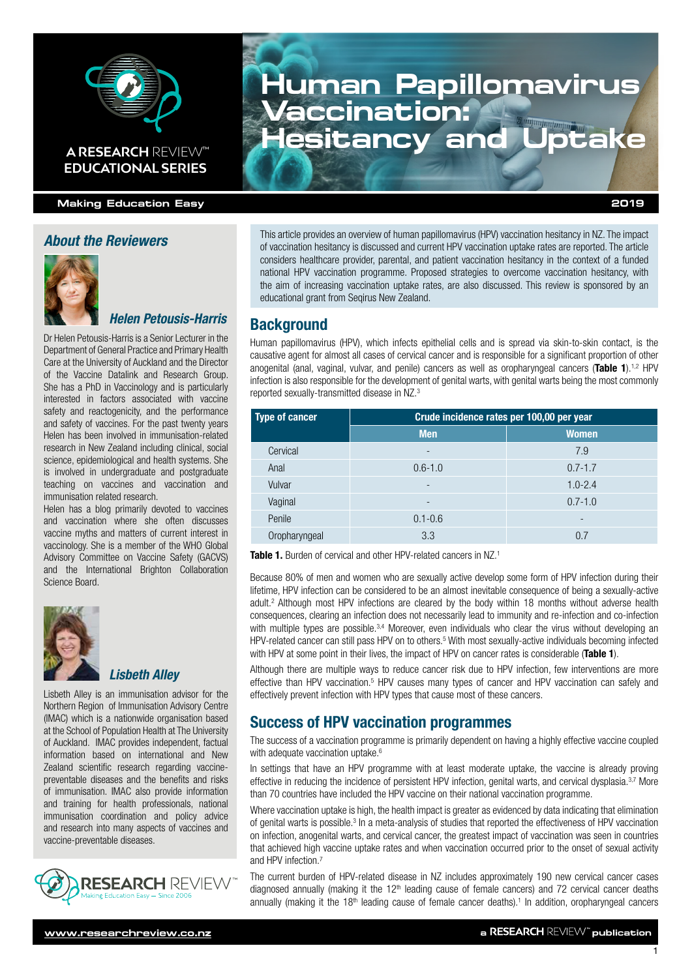

## **Making Education Easy 2019**

**EDUCATIONAL SERIES**

### *About the Reviewers*



## *Helen Petousis-Harris*

Dr Helen Petousis-Harris is a Senior Lecturer in the Department of General Practice and Primary Health Care at the University of Auckland and the Director of the Vaccine Datalink and Research Group. She has a PhD in Vaccinology and is particularly interested in factors associated with vaccine safety and reactogenicity, and the performance and safety of vaccines. For the past twenty years Helen has been involved in immunisation-related research in New Zealand including clinical, social science, epidemiological and health systems. She is involved in undergraduate and postgraduate teaching on vaccines and vaccination and immunisation related research.

Helen has a [blog](https://sciblogs.co.nz/blogs/diplomaticimmunity/) primarily devoted to vaccines and vaccination where she often discusses vaccine myths and matters of current interest in vaccinology. She is a member of the WHO Global Advisory Committee on Vaccine Safety (GACVS) and the International Brighton Collaboration Science Board.



#### *Lisbeth Alley*

Lisbeth Alley is an immunisation advisor for the Northern Region of Immunisation Advisory Centre (IMAC) which is a nationwide organisation based at the School of Population Health at The University of Auckland. IMAC provides independent, factual information based on international and New Zealand scientific research regarding vaccinepreventable diseases and the benefits and risks of immunisation. IMAC also provide information and training for health professionals, national immunisation coordination and policy advice and research into many aspects of vaccines and vaccine-preventable diseases.



# **Human Papillomavirus Vaccination: A RESEARCH** REVIEW™ **Hesitancy and Uptake**

This article provides an overview of human papillomavirus (HPV) vaccination hesitancy in NZ. The impact of vaccination hesitancy is discussed and current HPV vaccination uptake rates are reported. The article considers healthcare provider, parental, and patient vaccination hesitancy in the context of a funded national HPV vaccination programme. Proposed strategies to overcome vaccination hesitancy, with the aim of increasing vaccination uptake rates, are also discussed. This review is sponsored by an educational grant from Segirus New Zealand.

#### **Background**

Human papillomavirus (HPV), which infects epithelial cells and is spread via skin-to-skin contact, is the causative agent for almost all cases of cervical cancer and is responsible for a significant proportion of other anogenital (anal, vaginal, vulvar, and penile) cancers as well as oropharyngeal cancers (Table 1).<sup>1,2</sup> HPV infection is also responsible for the development of genital warts, with genital warts being the most commonly reported sexually-transmitted disease in NZ.3

| <b>Type of cancer</b> | Crude incidence rates per 100,00 per year |              |
|-----------------------|-------------------------------------------|--------------|
|                       | <b>Men</b>                                | <b>Women</b> |
| Cervical              | -                                         | 7.9          |
| Anal                  | $0.6 - 1.0$                               | $0.7 - 1.7$  |
| Vulvar                | -                                         | $1.0 - 2.4$  |
| Vaginal               | -                                         | $0.7 - 1.0$  |
| Penile                | $0.1 - 0.6$                               | -            |
| Oropharyngeal         | 3.3                                       | 0.7          |

Table 1. Burden of cervical and other HPV-related cancers in NZ.<sup>1</sup>

Because 80% of men and women who are sexually active develop some form of HPV infection during their lifetime, HPV infection can be considered to be an almost inevitable consequence of being a sexually-active adult.2 Although most HPV infections are cleared by the body within 18 months without adverse health consequences, clearing an infection does not necessarily lead to immunity and re-infection and co-infection with multiple types are possible.<sup>3,4</sup> Moreover, even individuals who clear the virus without developing an HPV-related cancer can still pass HPV on to others.<sup>5</sup> With most sexually-active individuals becoming infected with HPV at some point in their lives, the impact of HPV on cancer rates is considerable (Table 1).

Although there are multiple ways to reduce cancer risk due to HPV infection, few interventions are more effective than HPV vaccination.<sup>5</sup> HPV causes many types of cancer and HPV vaccination can safely and effectively prevent infection with HPV types that cause most of these cancers.

## Success of HPV vaccination programmes

The success of a vaccination programme is primarily dependent on having a highly effective vaccine coupled with adequate vaccination uptake.<sup>6</sup>

In settings that have an HPV programme with at least moderate uptake, the vaccine is already proving effective in reducing the incidence of persistent HPV infection, genital warts, and cervical dysplasia.<sup>3,7</sup> More than 70 countries have included the HPV vaccine on their national vaccination programme.

Where vaccination uptake is high, the health impact is greater as evidenced by data indicating that elimination of genital warts is possible.<sup>3</sup> In a meta-analysis of studies that reported the effectiveness of HPV vaccination on infection, anogenital warts, and cervical cancer, the greatest impact of vaccination was seen in countries that achieved high vaccine uptake rates and when vaccination occurred prior to the onset of sexual activity and HPV infection.7

The current burden of HPV-related disease in NZ includes approximately 190 new cervical cancer cases diagnosed annually (making it the  $12<sup>th</sup>$  leading cause of female cancers) and 72 cervical cancer deaths annually (making it the  $18<sup>th</sup>$  leading cause of female cancer deaths).<sup>1</sup> In addition, oropharyngeal cancers

1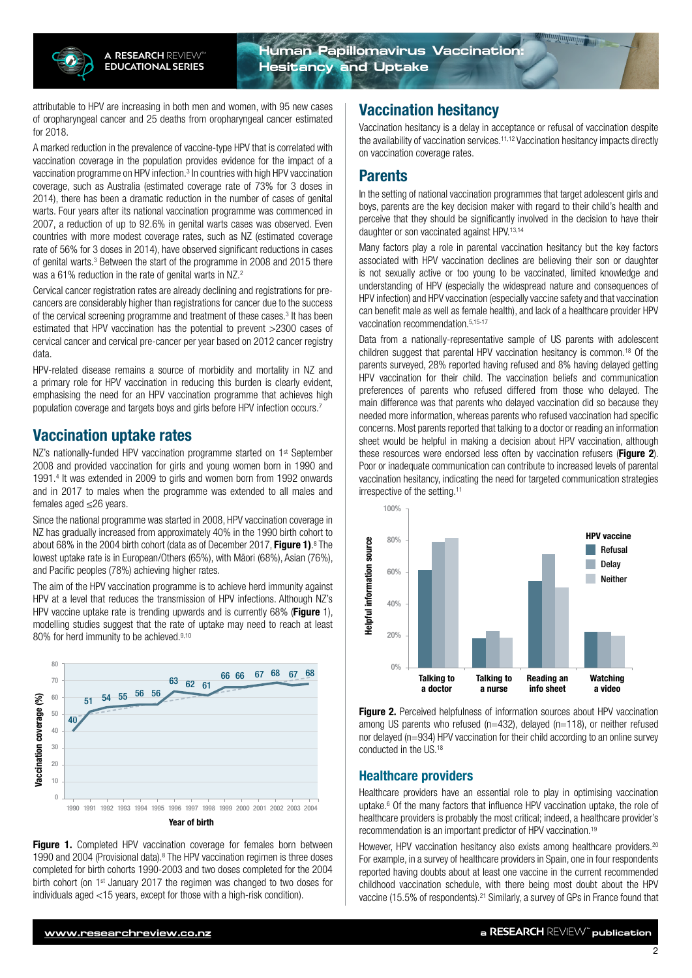

attributable to HPV are increasing in both men and women, with 95 new cases of oropharyngeal cancer and 25 deaths from oropharyngeal cancer estimated for 2018.

A marked reduction in the prevalence of vaccine-type HPV that is correlated with vaccination coverage in the population provides evidence for the impact of a vaccination programme on HPV infection.<sup>3</sup> In countries with high HPV vaccination coverage, such as Australia (estimated coverage rate of 73% for 3 doses in 2014), there has been a dramatic reduction in the number of cases of genital warts. Four years after its national vaccination programme was commenced in 2007, a reduction of up to 92.6% in genital warts cases was observed. Even countries with more modest coverage rates, such as NZ (estimated coverage rate of 56% for 3 doses in 2014), have observed significant reductions in cases of genital warts.3 Between the start of the programme in 2008 and 2015 there was a 61% reduction in the rate of genital warts in NZ.<sup>2</sup>

Cervical cancer registration rates are already declining and registrations for precancers are considerably higher than registrations for cancer due to the success of the cervical screening programme and treatment of these cases.<sup>3</sup> It has been estimated that HPV vaccination has the potential to prevent >2300 cases of cervical cancer and cervical pre-cancer per year based on 2012 cancer registry data.

HPV-related disease remains a source of morbidity and mortality in NZ and a primary role for HPV vaccination in reducing this burden is clearly evident, emphasising the need for an HPV vaccination programme that achieves high population coverage and targets boys and girls before HPV infection occurs.7

## Vaccination uptake rates

NZ's nationally-funded HPV vaccination programme started on 1<sup>st</sup> September 2008 and provided vaccination for girls and young women born in 1990 and 1991.4 It was extended in 2009 to girls and women born from 1992 onwards and in 2017 to males when the programme was extended to all males and females aged ≤26 years.

Since the national programme was started in 2008, HPV vaccination coverage in NZ has gradually increased from approximately 40% in the 1990 birth cohort to about 68% in the 2004 birth cohort (data as of December 2017, Figure 1).<sup>8</sup> The lowest uptake rate is in European/Others (65%), with Māori (68%), Asian (76%), and Pacific peoples (78%) achieving higher rates.

The aim of the HPV vaccination programme is to achieve herd immunity against HPV at a level that reduces the transmission of HPV infections. Although NZ's HPV vaccine uptake rate is trending upwards and is currently 68% (Figure 1), modelling studies suggest that the rate of uptake may need to reach at least 80% for herd immunity to be achieved.<sup>9,10</sup>



Figure 1. Completed HPV vaccination coverage for females born between 1990 and 2004 (Provisional data).<sup>8</sup> The HPV vaccination regimen is three doses completed for birth cohorts 1990-2003 and two doses completed for the 2004 birth cohort (on 1<sup>st</sup> January 2017 the regimen was changed to two doses for individuals aged <15 years, except for those with a high-risk condition).

## Vaccination hesitancy

Vaccination hesitancy is a delay in acceptance or refusal of vaccination despite the availability of vaccination services.<sup>11,12</sup> Vaccination hesitancy impacts directly on vaccination coverage rates.

## Parents

In the setting of national vaccination programmes that target adolescent girls and boys, parents are the key decision maker with regard to their child's health and perceive that they should be significantly involved in the decision to have their daughter or son vaccinated against HPV.13,14

Many factors play a role in parental vaccination hesitancy but the key factors associated with HPV vaccination declines are believing their son or daughter is not sexually active or too young to be vaccinated, limited knowledge and understanding of HPV (especially the widespread nature and consequences of HPV infection) and HPV vaccination (especially vaccine safety and that vaccination can benefit male as well as female health), and lack of a healthcare provider HPV vaccination recommendation.5,15-17

Data from a nationally-representative sample of US parents with adolescent children suggest that parental HPV vaccination hesitancy is common.<sup>18</sup> Of the parents surveyed, 28% reported having refused and 8% having delayed getting HPV vaccination for their child. The vaccination beliefs and communication preferences of parents who refused differed from those who delayed. The main difference was that parents who delayed vaccination did so because they needed more information, whereas parents who refused vaccination had specific concerns. Most parents reported that talking to a doctor or reading an information sheet would be helpful in making a decision about HPV vaccination, although these resources were endorsed less often by vaccination refusers (Figure 2). Poor or inadequate communication can contribute to increased levels of parental vaccination hesitancy, indicating the need for targeted communication strategies irrespective of the setting.<sup>11</sup>



Figure 2. Perceived helpfulness of information sources about HPV vaccination among US parents who refused (n=432), delayed (n=118), or neither refused nor delayed (n=934) HPV vaccination for their child according to an online survey conducted in the US.18

### Healthcare providers

Healthcare providers have an essential role to play in optimising vaccination uptake.<sup>6</sup> Of the many factors that influence HPV vaccination uptake, the role of healthcare providers is probably the most critical; indeed, a healthcare provider's recommendation is an important predictor of HPV vaccination.19

However, HPV vaccination hesitancy also exists among healthcare providers.<sup>20</sup> For example, in a survey of healthcare providers in Spain, one in four respondents reported having doubts about at least one vaccine in the current recommended childhood vaccination schedule, with there being most doubt about the HPV vaccine (15.5% of respondents).<sup>21</sup> Similarly, a survey of GPs in France found that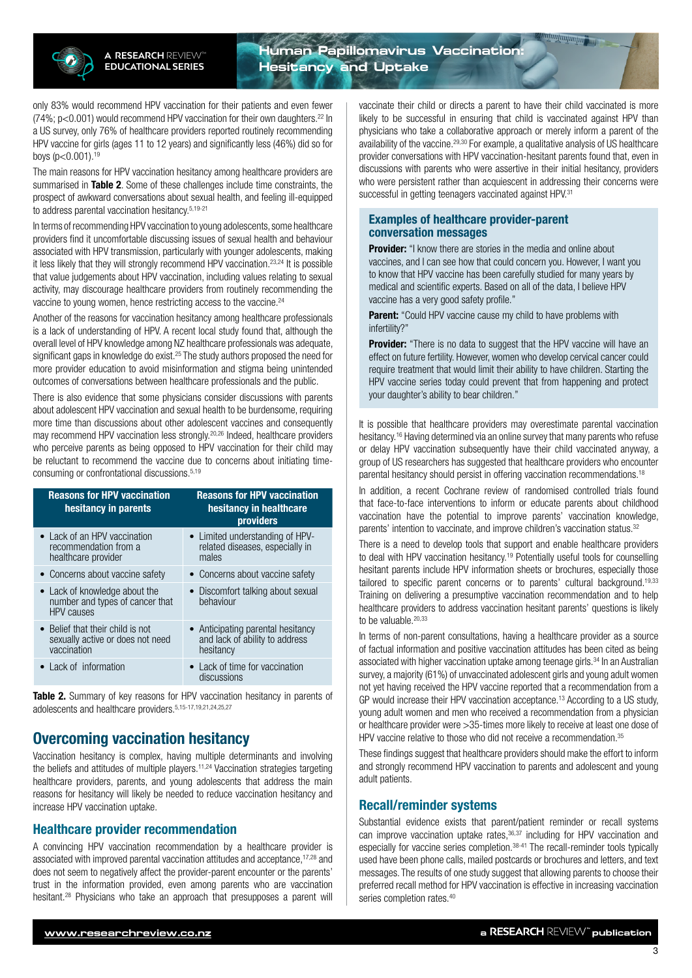**Human Papillomavirus Vaccination: Hesitancy and Uptake**

only 83% would recommend HPV vaccination for their patients and even fewer (74%; p<0.001) would recommend HPV vaccination for their own daughters.<sup>22</sup> In a US survey, only 76% of healthcare providers reported routinely recommending HPV vaccine for girls (ages 11 to 12 years) and significantly less (46%) did so for boys  $(p<0.001)$ .<sup>19</sup>

The main reasons for HPV vaccination hesitancy among healthcare providers are summarised in Table 2. Some of these challenges include time constraints, the prospect of awkward conversations about sexual health, and feeling ill-equipped to address parental vaccination hesitancy.5,19-21

In terms of recommending HPV vaccination to young adolescents, some healthcare providers find it uncomfortable discussing issues of sexual health and behaviour associated with HPV transmission, particularly with younger adolescents, making it less likely that they will strongly recommend HPV vaccination.<sup>23,24</sup> It is possible that value judgements about HPV vaccination, including values relating to sexual activity, may discourage healthcare providers from routinely recommending the vaccine to young women, hence restricting access to the vaccine.24

Another of the reasons for vaccination hesitancy among healthcare professionals is a lack of understanding of HPV. A recent local study found that, although the overall level of HPV knowledge among NZ healthcare professionals was adequate, significant gaps in knowledge do exist.<sup>25</sup> The study authors proposed the need for more provider education to avoid misinformation and stigma being unintended outcomes of conversations between healthcare professionals and the public.

There is also evidence that some physicians consider discussions with parents about adolescent HPV vaccination and sexual health to be burdensome, requiring more time than discussions about other adolescent vaccines and consequently may recommend HPV vaccination less strongly.20,26 Indeed, healthcare providers who perceive parents as being opposed to HPV vaccination for their child may be reluctant to recommend the vaccine due to concerns about initiating timeconsuming or confrontational discussions.5,19

| <b>Reasons for HPV vaccination</b><br>hesitancy in parents                            | <b>Reasons for HPV vaccination</b><br>hesitancy in healthcare<br>providers       |
|---------------------------------------------------------------------------------------|----------------------------------------------------------------------------------|
| • Lack of an HPV vaccination<br>recommendation from a<br>healthcare provider          | • Limited understanding of HPV-<br>related diseases, especially in<br>males      |
| • Concerns about vaccine safety                                                       | • Concerns about vaccine safety                                                  |
| • Lack of knowledge about the<br>number and types of cancer that<br><b>HPV</b> causes | • Discomfort talking about sexual<br>behaviour                                   |
| • Belief that their child is not<br>sexually active or does not need<br>vaccination   | • Anticipating parental hesitancy<br>and lack of ability to address<br>hesitancy |
| • Lack of information                                                                 | • Lack of time for vaccination<br>discussions                                    |

Table 2. Summary of key reasons for HPV vaccination hesitancy in parents of adolescents and healthcare providers.5,15-17,19,21,24,25,27

## Overcoming vaccination hesitancy

Vaccination hesitancy is complex, having multiple determinants and involving the beliefs and attitudes of multiple players.11,24 Vaccination strategies targeting healthcare providers, parents, and young adolescents that address the main reasons for hesitancy will likely be needed to reduce vaccination hesitancy and increase HPV vaccination uptake.

#### Healthcare provider recommendation

A convincing HPV vaccination recommendation by a healthcare provider is associated with improved parental vaccination attitudes and acceptance,17,28 and does not seem to negatively affect the provider-parent encounter or the parents' trust in the information provided, even among parents who are vaccination hesitant.<sup>28</sup> Physicians who take an approach that presupposes a parent will

vaccinate their child or directs a parent to have their child vaccinated is more likely to be successful in ensuring that child is vaccinated against HPV than physicians who take a collaborative approach or merely inform a parent of the availability of the vaccine.<sup>29,30</sup> For example, a qualitative analysis of US healthcare provider conversations with HPV vaccination-hesitant parents found that, even in discussions with parents who were assertive in their initial hesitancy, providers who were persistent rather than acquiescent in addressing their concerns were successful in getting teenagers vaccinated against HPV.<sup>31</sup>

#### Examples of healthcare provider-parent conversation messages

**Provider:** "I know there are stories in the media and online about vaccines, and I can see how that could concern you. However, I want you to know that HPV vaccine has been carefully studied for many years by medical and scientific experts. Based on all of the data, I believe HPV vaccine has a very good safety profile."

**Parent:** "Could HPV vaccine cause my child to have problems with infertility?"

Provider: "There is no data to suggest that the HPV vaccine will have an effect on future fertility. However, women who develop cervical cancer could require treatment that would limit their ability to have children. Starting the HPV vaccine series today could prevent that from happening and protect your daughter's ability to bear children."

It is possible that healthcare providers may overestimate parental vaccination hesitancy.<sup>16</sup> Having determined via an online survey that many parents who refuse or delay HPV vaccination subsequently have their child vaccinated anyway, a group of US researchers has suggested that healthcare providers who encounter parental hesitancy should persist in offering vaccination recommendations.<sup>18</sup>

In addition, a recent Cochrane review of randomised controlled trials found that face-to-face interventions to inform or educate parents about childhood vaccination have the potential to improve parents' vaccination knowledge, parents' intention to vaccinate, and improve children's vaccination status.<sup>32</sup>

There is a need to develop tools that support and enable healthcare providers to deal with HPV vaccination hesitancy.19 Potentially useful tools for counselling hesitant parents include HPV information sheets or brochures, especially those tailored to specific parent concerns or to parents' cultural background.<sup>19,33</sup> Training on delivering a presumptive vaccination recommendation and to help healthcare providers to address vaccination hesitant parents' questions is likely to be valuable.<sup>20,33</sup>

In terms of non-parent consultations, having a healthcare provider as a source of factual information and positive vaccination attitudes has been cited as being associated with higher vaccination uptake among teenage girls.34 In an Australian survey, a majority (61%) of unvaccinated adolescent girls and young adult women not yet having received the HPV vaccine reported that a recommendation from a GP would increase their HPV vaccination acceptance.13 According to a US study, young adult women and men who received a recommendation from a physician or healthcare provider were >35-times more likely to receive at least one dose of HPV vaccine relative to those who did not receive a recommendation.<sup>35</sup>

These findings suggest that healthcare providers should make the effort to inform and strongly recommend HPV vaccination to parents and adolescent and young adult patients.

### Recall/reminder systems

Substantial evidence exists that parent/patient reminder or recall systems can improve vaccination uptake rates, 36,37 including for HPV vaccination and especially for vaccine series completion.<sup>38-41</sup> The recall-reminder tools typically used have been phone calls, mailed postcards or brochures and letters, and text messages. The results of one study suggest that allowing parents to choose their preferred recall method for HPV vaccination is effective in increasing vaccination series completion rates.<sup>40</sup>

3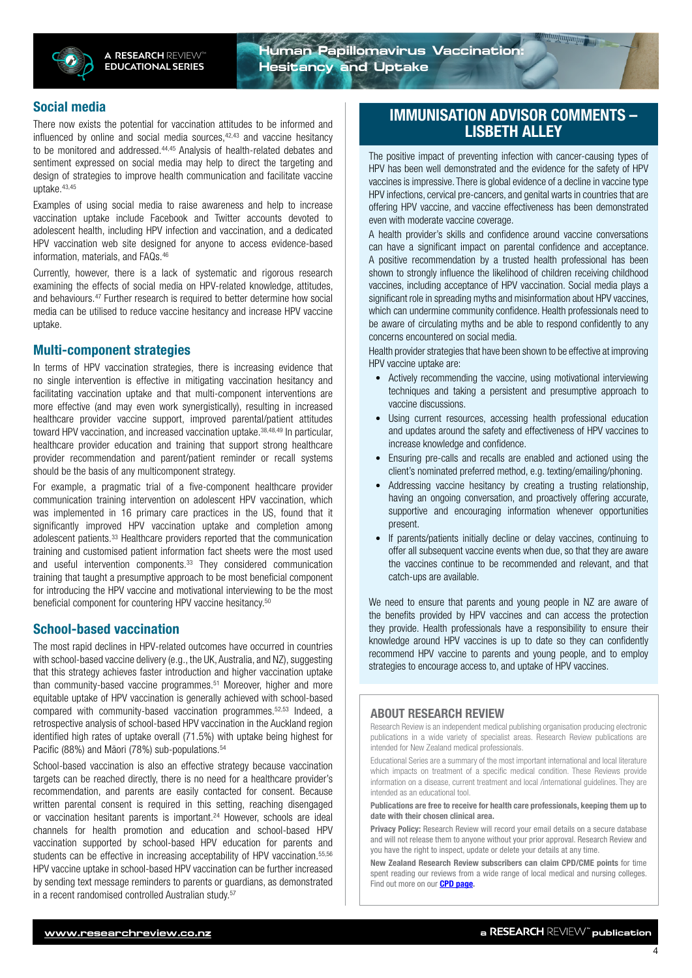**Human Papillomavirus Vaccination: Hesitancy and Uptake**

#### Social media

There now exists the potential for vaccination attitudes to be informed and influenced by online and social media sources, $42,43$  and vaccine hesitancy to be monitored and addressed.44,45 Analysis of health-related debates and sentiment expressed on social media may help to direct the targeting and design of strategies to improve health communication and facilitate vaccine uptake.43,45

Examples of using social media to raise awareness and help to increase vaccination uptake include Facebook and Twitter accounts devoted to adolescent health, including HPV infection and vaccination, and a dedicated HPV vaccination web site designed for anyone to access evidence-based information, materials, and FAQs.46

Currently, however, there is a lack of systematic and rigorous research examining the effects of social media on HPV-related knowledge, attitudes, and behaviours.47 Further research is required to better determine how social media can be utilised to reduce vaccine hesitancy and increase HPV vaccine uptake.

#### Multi-component strategies

In terms of HPV vaccination strategies, there is increasing evidence that no single intervention is effective in mitigating vaccination hesitancy and facilitating vaccination uptake and that multi-component interventions are more effective (and may even work synergistically), resulting in increased healthcare provider vaccine support, improved parental/patient attitudes toward HPV vaccination, and increased vaccination uptake.<sup>38,48,49</sup> In particular, healthcare provider education and training that support strong healthcare provider recommendation and parent/patient reminder or recall systems should be the basis of any multicomponent strategy.

For example, a pragmatic trial of a five-component healthcare provider communication training intervention on adolescent HPV vaccination, which was implemented in 16 primary care practices in the US, found that it significantly improved HPV vaccination uptake and completion among adolescent patients.33 Healthcare providers reported that the communication training and customised patient information fact sheets were the most used and useful intervention components.<sup>33</sup> They considered communication training that taught a presumptive approach to be most beneficial component for introducing the HPV vaccine and motivational interviewing to be the most beneficial component for countering HPV vaccine hesitancy.<sup>50</sup>

### School-based vaccination

The most rapid declines in HPV-related outcomes have occurred in countries with school-based vaccine delivery (e.g., the UK, Australia, and NZ), suggesting that this strategy achieves faster introduction and higher vaccination uptake than community-based vaccine programmes.<sup>51</sup> Moreover, higher and more equitable uptake of HPV vaccination is generally achieved with school-based compared with community-based vaccination programmes.52,53 Indeed, a retrospective analysis of school-based HPV vaccination in the Auckland region identified high rates of uptake overall (71.5%) with uptake being highest for Pacific (88%) and Māori (78%) sub-populations.<sup>54</sup>

School-based vaccination is also an effective strategy because vaccination targets can be reached directly, there is no need for a healthcare provider's recommendation, and parents are easily contacted for consent. Because written parental consent is required in this setting, reaching disengaged or vaccination hesitant parents is important.<sup>24</sup> However, schools are ideal channels for health promotion and education and school-based HPV vaccination supported by school-based HPV education for parents and students can be effective in increasing acceptability of HPV vaccination.<sup>55,56</sup> HPV vaccine uptake in school-based HPV vaccination can be further increased by sending text message reminders to parents or guardians, as demonstrated in a recent randomised controlled Australian study.<sup>57</sup>

## IMMUNISATION ADVISOR COMMENTS – LISBETH ALLEY

The positive impact of preventing infection with cancer-causing types of HPV has been well demonstrated and the evidence for the safety of HPV vaccines is impressive. There is global evidence of a decline in vaccine type HPV infections, cervical pre-cancers, and genital warts in countries that are offering HPV vaccine, and vaccine effectiveness has been demonstrated even with moderate vaccine coverage.

A health provider's skills and confidence around vaccine conversations can have a significant impact on parental confidence and acceptance. A positive recommendation by a trusted health professional has been shown to strongly influence the likelihood of children receiving childhood vaccines, including acceptance of HPV vaccination. Social media plays a significant role in spreading myths and misinformation about HPV vaccines, which can undermine community confidence. Health professionals need to be aware of circulating myths and be able to respond confidently to any concerns encountered on social media.

Health provider strategies that have been shown to be effective at improving HPV vaccine uptake are:

- Actively recommending the vaccine, using motivational interviewing techniques and taking a persistent and presumptive approach to vaccine discussions.
- Using current resources, accessing health professional education and updates around the safety and effectiveness of HPV vaccines to increase knowledge and confidence.
- Ensuring pre-calls and recalls are enabled and actioned using the client's nominated preferred method, e.g. texting/emailing/phoning.
- Addressing vaccine hesitancy by creating a trusting relationship, having an ongoing conversation, and proactively offering accurate, supportive and encouraging information whenever opportunities present.
- If parents/patients initially decline or delay vaccines, continuing to offer all subsequent vaccine events when due, so that they are aware the vaccines continue to be recommended and relevant, and that catch-ups are available.

We need to ensure that parents and young people in NZ are aware of the benefits provided by HPV vaccines and can access the protection they provide. Health professionals have a responsibility to ensure their knowledge around HPV vaccines is up to date so they can confidently recommend HPV vaccine to parents and young people, and to employ strategies to encourage access to, and uptake of HPV vaccines.

#### ABOUT RESEARCH REVIEW

Research Review is an independent medical publishing organisation producing electronic publications in a wide variety of specialist areas. Research Review publications are intended for New Zealand medical professionals.

Educational Series are a summary of the most important international and local literature which impacts on treatment of a specific medical condition. These Reviews provide information on a disease, current treatment and local /international guidelines. They are intended as an educational tool.

Publications are free to receive for health care professionals, keeping them up to date with their chosen clinical area.

Privacy Policy: Research Review will record your email details on a secure database and will not release them to anyone without your prior approval. Research Review and you have the right to inspect, update or delete your details at any time.

New Zealand Research Review subscribers can claim CPD/CME points for time spent reading our reviews from a wide range of local medical and nursing colleges. Find out more on our **[CPD page](http://www.researchreview.co.nz/cpd?site=nz).**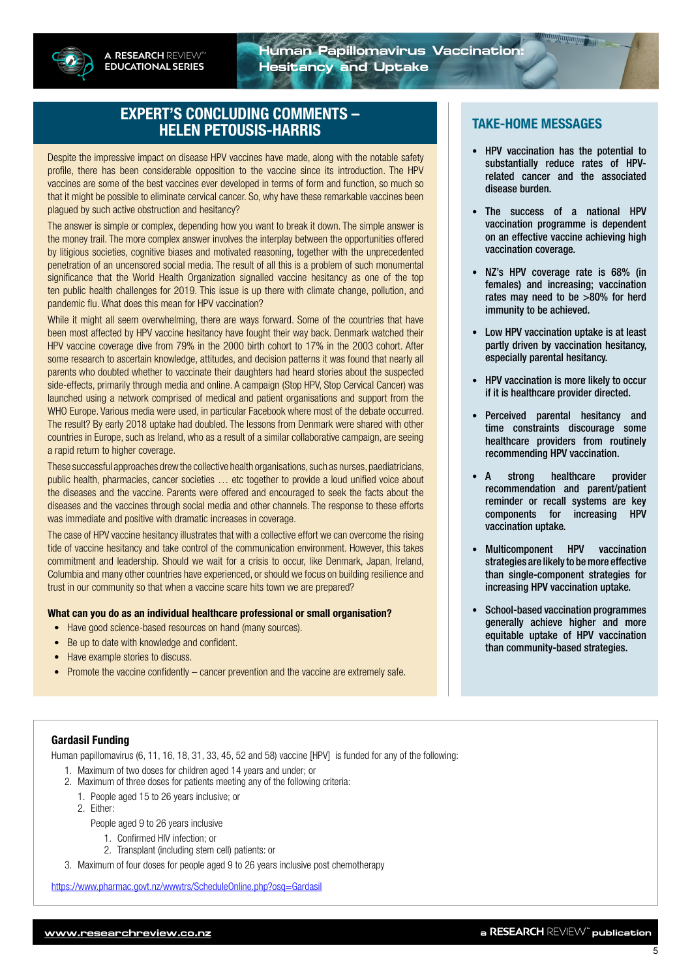

## EXPERT'S CONCLUDING COMMENTS – HELEN PETOUSIS-HARRIS

Despite the impressive impact on disease HPV vaccines have made, along with the notable safety profile, there has been considerable opposition to the vaccine since its introduction. The HPV vaccines are some of the best vaccines ever developed in terms of form and function, so much so that it might be possible to eliminate cervical cancer. So, why have these remarkable vaccines been plagued by such active obstruction and hesitancy?

The answer is simple or complex, depending how you want to break it down. The simple answer is the money trail. The more complex answer involves the interplay between the opportunities offered by litigious societies, cognitive biases and motivated reasoning, together with the unprecedented penetration of an uncensored social media. The result of all this is a problem of such monumental significance that the World Health Organization signalled vaccine hesitancy as one of the top ten public health challenges for 2019. This issue is up there with climate change, pollution, and pandemic flu. What does this mean for HPV vaccination?

While it might all seem overwhelming, there are ways forward. Some of the countries that have been most affected by HPV vaccine hesitancy have fought their way back. Denmark watched their HPV vaccine coverage dive from 79% in the 2000 birth cohort to 17% in the 2003 cohort. After some research to ascertain knowledge, attitudes, and decision patterns it was found that nearly all parents who doubted whether to vaccinate their daughters had heard stories about the suspected side-effects, primarily through media and online. A campaign (Stop HPV, Stop Cervical Cancer) was launched using a network comprised of medical and patient organisations and support from the WHO Europe. Various media were used, in particular Facebook where most of the debate occurred. The result? By early 2018 uptake had doubled. The lessons from Denmark were shared with other countries in Europe, such as Ireland, who as a result of a similar collaborative campaign, are seeing a rapid return to higher coverage.

These successful approaches drew the collective health organisations, such as nurses, paediatricians, public health, pharmacies, cancer societies … etc together to provide a loud unified voice about the diseases and the vaccine. Parents were offered and encouraged to seek the facts about the diseases and the vaccines through social media and other channels. The response to these efforts was immediate and positive with dramatic increases in coverage.

The case of HPV vaccine hesitancy illustrates that with a collective effort we can overcome the rising tide of vaccine hesitancy and take control of the communication environment. However, this takes commitment and leadership. Should we wait for a crisis to occur, like Denmark, Japan, Ireland, Columbia and many other countries have experienced, or should we focus on building resilience and trust in our community so that when a vaccine scare hits town we are prepared?

#### What can you do as an individual healthcare professional or small organisation?

- Have good science-based resources on hand (many sources).
- Be up to date with knowledge and confident.
- Have example stories to discuss.
- Promote the vaccine confidently cancer prevention and the vaccine are extremely safe.

#### TAKE-HOME MESSAGES

- HPV vaccination has the potential to substantially reduce rates of HPVrelated cancer and the associated disease burden.
- The success of a national HPV vaccination programme is dependent on an effective vaccine achieving high vaccination coverage.
- NZ's HPV coverage rate is 68% (in females) and increasing; vaccination rates may need to be >80% for herd immunity to be achieved.
- Low HPV vaccination uptake is at least partly driven by vaccination hesitancy, especially parental hesitancy.
- HPV vaccination is more likely to occur if it is healthcare provider directed.
- Perceived parental hesitancy and time constraints discourage some healthcare providers from routinely recommending HPV vaccination.
- A strong healthcare provider recommendation and parent/patient reminder or recall systems are key components for increasing HPV vaccination uptake.
- Multicomponent HPV vaccination strategies are likely to be more effective than single-component strategies for increasing HPV vaccination uptake.
- School-based vaccination programmes generally achieve higher and more equitable uptake of HPV vaccination than community-based strategies.

#### Gardasil Funding

Human papillomavirus (6, 11, 16, 18, 31, 33, 45, 52 and 58) vaccine [HPV] is funded for any of the following:

- 1. Maximum of two doses for children aged 14 years and under; or
- 2. Maximum of three doses for patients meeting any of the following criteria:
	- 1. People aged 15 to 26 years inclusive; or
	- 2. Either:

People aged 9 to 26 years inclusive

- 1. Confirmed HIV infection; or
- 2. Transplant (including stem cell) patients: or
- 3. Maximum of four doses for people aged 9 to 26 years inclusive post chemotherapy

<https://www.pharmac.govt.nz/wwwtrs/ScheduleOnline.php?osq=Gardasil>